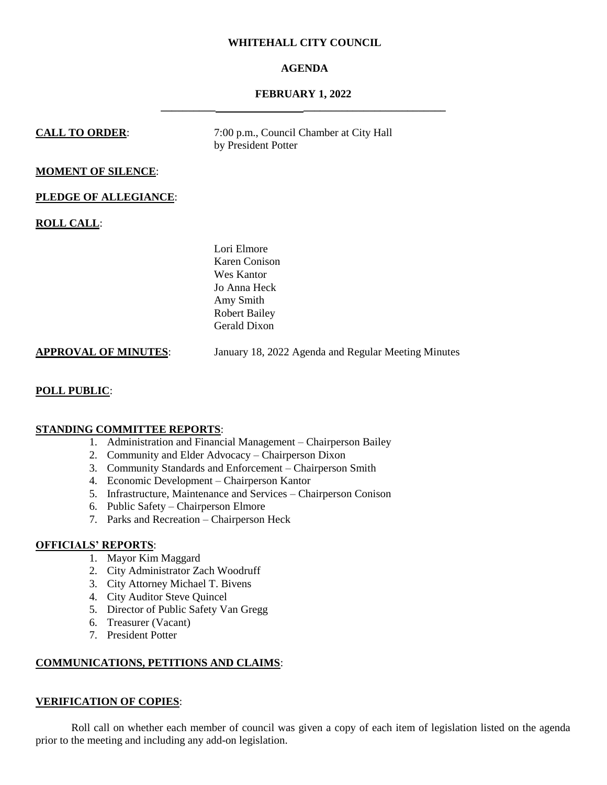# **WHITEHALL CITY COUNCIL**

# **AGENDA**

# **FEBRUARY 1, 2022 \_\_\_\_\_\_\_\_\_\_ \_\_\_\_\_\_\_\_\_\_\_\_\_\_\_\_\_\_\_\_\_\_\_\_\_\_**

# **CALL TO ORDER:** 7:00 p.m., Council Chamber at City Hall by President Potter **MOMENT OF SILENCE**: **PLEDGE OF ALLEGIANCE**: **ROLL CALL**: Lori Elmore Karen Conison Wes Kantor Jo Anna Heck Amy Smith Robert Bailey Gerald Dixon

**POLL PUBLIC**:

# **STANDING COMMITTEE REPORTS**:

1. Administration and Financial Management – Chairperson Bailey

**APPROVAL OF MINUTES**: January 18, 2022 Agenda and Regular Meeting Minutes

- 2. Community and Elder Advocacy Chairperson Dixon
- 3. Community Standards and Enforcement Chairperson Smith
- 4. Economic Development Chairperson Kantor
- 5. Infrastructure, Maintenance and Services Chairperson Conison
- 6. Public Safety Chairperson Elmore
- 7. Parks and Recreation Chairperson Heck

# **OFFICIALS' REPORTS**:

- 1. Mayor Kim Maggard
- 2. City Administrator Zach Woodruff
- 3. City Attorney Michael T. Bivens
- 4. City Auditor Steve Quincel
- 5. Director of Public Safety Van Gregg
- 6. Treasurer (Vacant)
- 7. President Potter

# **COMMUNICATIONS, PETITIONS AND CLAIMS**:

# **VERIFICATION OF COPIES**:

Roll call on whether each member of council was given a copy of each item of legislation listed on the agenda prior to the meeting and including any add-on legislation.